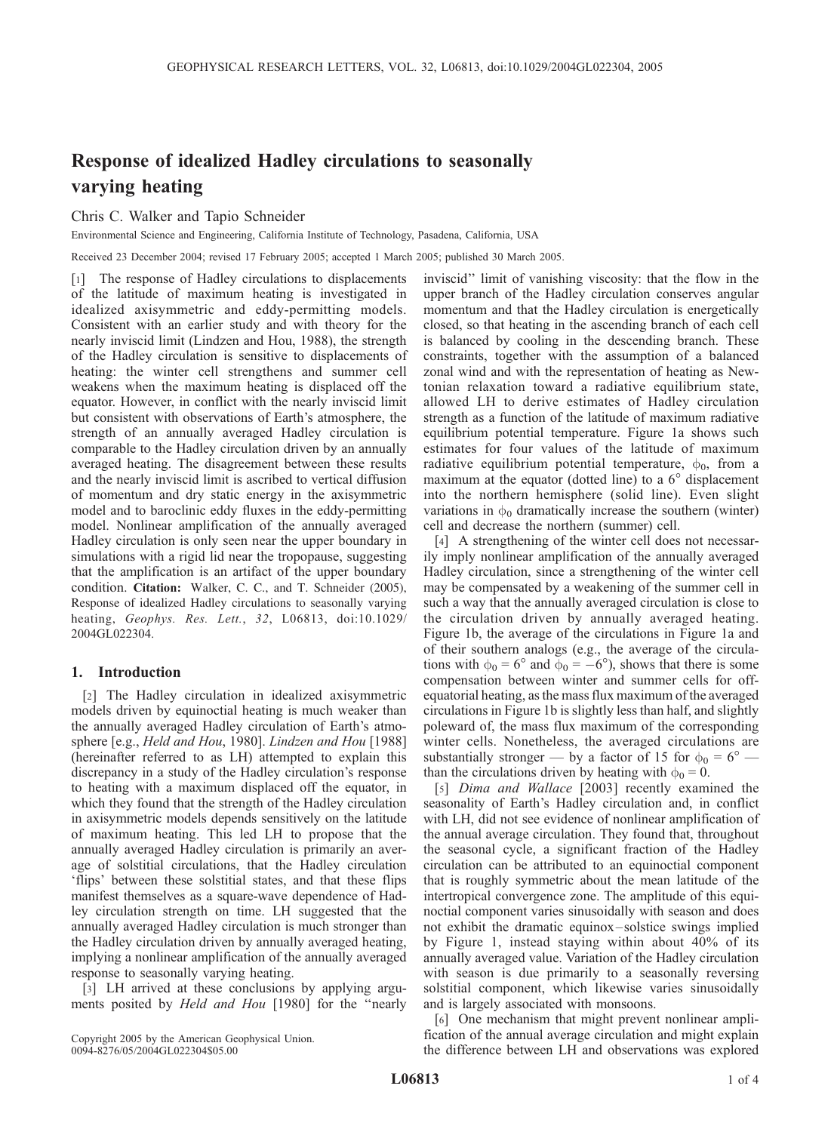# Response of idealized Hadley circulations to seasonally varying heating

Chris C. Walker and Tapio Schneider

Environmental Science and Engineering, California Institute of Technology, Pasadena, California, USA

Received 23 December 2004; revised 17 February 2005; accepted 1 March 2005; published 30 March 2005.

[1] The response of Hadley circulations to displacements of the latitude of maximum heating is investigated in idealized axisymmetric and eddy-permitting models. Consistent with an earlier study and with theory for the nearly inviscid limit (Lindzen and Hou, 1988), the strength of the Hadley circulation is sensitive to displacements of heating: the winter cell strengthens and summer cell weakens when the maximum heating is displaced off the equator. However, in conflict with the nearly inviscid limit but consistent with observations of Earth's atmosphere, the strength of an annually averaged Hadley circulation is comparable to the Hadley circulation driven by an annually averaged heating. The disagreement between these results and the nearly inviscid limit is ascribed to vertical diffusion of momentum and dry static energy in the axisymmetric model and to baroclinic eddy fluxes in the eddy-permitting model. Nonlinear amplification of the annually averaged Hadley circulation is only seen near the upper boundary in simulations with a rigid lid near the tropopause, suggesting that the amplification is an artifact of the upper boundary condition. Citation: Walker, C. C., and T. Schneider (2005), Response of idealized Hadley circulations to seasonally varying heating, Geophys. Res. Lett., 32, L06813, doi:10.1029/ 2004GL022304.

# 1. Introduction

[2] The Hadley circulation in idealized axisymmetric models driven by equinoctial heating is much weaker than the annually averaged Hadley circulation of Earth's atmosphere [e.g., Held and Hou, 1980]. Lindzen and Hou [1988] (hereinafter referred to as LH) attempted to explain this discrepancy in a study of the Hadley circulation's response to heating with a maximum displaced off the equator, in which they found that the strength of the Hadley circulation in axisymmetric models depends sensitively on the latitude of maximum heating. This led LH to propose that the annually averaged Hadley circulation is primarily an average of solstitial circulations, that the Hadley circulation 'flips' between these solstitial states, and that these flips manifest themselves as a square-wave dependence of Hadley circulation strength on time. LH suggested that the annually averaged Hadley circulation is much stronger than the Hadley circulation driven by annually averaged heating, implying a nonlinear amplification of the annually averaged response to seasonally varying heating.

[3] LH arrived at these conclusions by applying arguments posited by Held and Hou [1980] for the ''nearly

inviscid'' limit of vanishing viscosity: that the flow in the upper branch of the Hadley circulation conserves angular momentum and that the Hadley circulation is energetically closed, so that heating in the ascending branch of each cell is balanced by cooling in the descending branch. These constraints, together with the assumption of a balanced zonal wind and with the representation of heating as Newtonian relaxation toward a radiative equilibrium state, allowed LH to derive estimates of Hadley circulation strength as a function of the latitude of maximum radiative equilibrium potential temperature. Figure 1a shows such estimates for four values of the latitude of maximum radiative equilibrium potential temperature,  $\phi_0$ , from a maximum at the equator (dotted line) to a  $6^{\circ}$  displacement into the northern hemisphere (solid line). Even slight variations in  $\phi_0$  dramatically increase the southern (winter) cell and decrease the northern (summer) cell.

[4] A strengthening of the winter cell does not necessarily imply nonlinear amplification of the annually averaged Hadley circulation, since a strengthening of the winter cell may be compensated by a weakening of the summer cell in such a way that the annually averaged circulation is close to the circulation driven by annually averaged heating. Figure 1b, the average of the circulations in Figure 1a and of their southern analogs (e.g., the average of the circulations with  $\phi_0 = 6^\circ$  and  $\phi_0 = -6^\circ$ ), shows that there is some compensation between winter and summer cells for offequatorial heating, as the mass flux maximum of the averaged circulations in Figure 1b is slightly less than half, and slightly poleward of, the mass flux maximum of the corresponding winter cells. Nonetheless, the averaged circulations are substantially stronger — by a factor of 15 for  $\phi_0 = 6^\circ$  than the circulations driven by heating with  $\phi_0 = 0$ .

[5] *Dima and Wallace* [2003] recently examined the seasonality of Earth's Hadley circulation and, in conflict with LH, did not see evidence of nonlinear amplification of the annual average circulation. They found that, throughout the seasonal cycle, a significant fraction of the Hadley circulation can be attributed to an equinoctial component that is roughly symmetric about the mean latitude of the intertropical convergence zone. The amplitude of this equinoctial component varies sinusoidally with season and does not exhibit the dramatic equinox– solstice swings implied by Figure 1, instead staying within about 40% of its annually averaged value. Variation of the Hadley circulation with season is due primarily to a seasonally reversing solstitial component, which likewise varies sinusoidally and is largely associated with monsoons.

[6] One mechanism that might prevent nonlinear amplification of the annual average circulation and might explain the difference between LH and observations was explored

Copyright 2005 by the American Geophysical Union. 0094-8276/05/2004GL022304\$05.00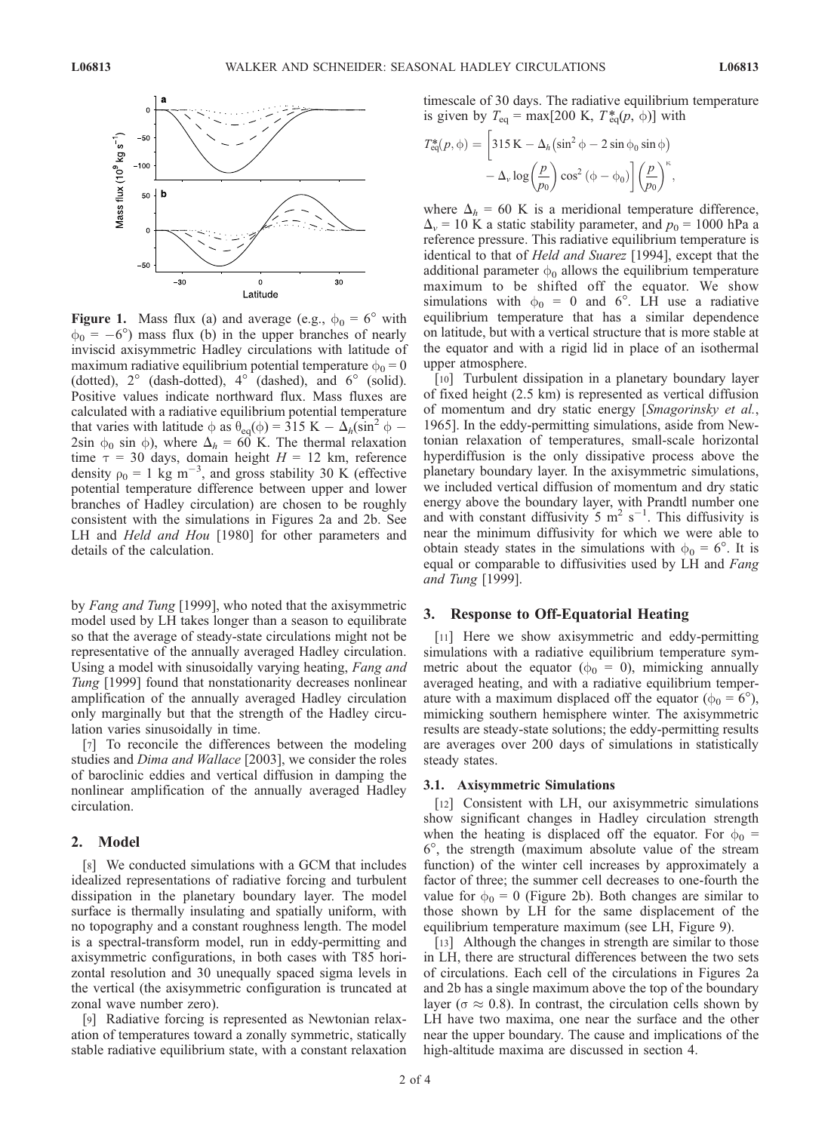

**Figure 1.** Mass flux (a) and average (e.g.,  $\phi_0 = 6^\circ$  with  $\phi_0 = -6^\circ$ ) mass flux (b) in the upper branches of nearly inviscid axisymmetric Hadley circulations with latitude of maximum radiative equilibrium potential temperature  $\phi_0 = 0$ (dotted),  $2^{\circ}$  (dash-dotted),  $4^{\circ}$  (dashed), and  $6^{\circ}$  (solid). Positive values indicate northward flux. Mass fluxes are calculated with a radiative equilibrium potential temperature that varies with latitude  $\phi$  as  $\theta_{eq}(\phi) = 315 \text{ K} - \Delta_h(\sin^2 \phi -$ 2sin  $\phi_0$  sin  $\phi$ ), where  $\Delta_h = 60$  K. The thermal relaxation time  $\tau = 30$  days, domain height  $H = 12$  km, reference density  $\rho_0 = 1$  kg m<sup>-3</sup>, and gross stability 30 K (effective potential temperature difference between upper and lower branches of Hadley circulation) are chosen to be roughly consistent with the simulations in Figures 2a and 2b. See LH and *Held and Hou* [1980] for other parameters and details of the calculation.

by Fang and Tung [1999], who noted that the axisymmetric model used by LH takes longer than a season to equilibrate so that the average of steady-state circulations might not be representative of the annually averaged Hadley circulation. Using a model with sinusoidally varying heating, Fang and Tung [1999] found that nonstationarity decreases nonlinear amplification of the annually averaged Hadley circulation only marginally but that the strength of the Hadley circulation varies sinusoidally in time.

[7] To reconcile the differences between the modeling studies and *Dima and Wallace* [2003], we consider the roles of baroclinic eddies and vertical diffusion in damping the nonlinear amplification of the annually averaged Hadley circulation.

# 2. Model

[8] We conducted simulations with a GCM that includes idealized representations of radiative forcing and turbulent dissipation in the planetary boundary layer. The model surface is thermally insulating and spatially uniform, with no topography and a constant roughness length. The model is a spectral-transform model, run in eddy-permitting and axisymmetric configurations, in both cases with T85 horizontal resolution and 30 unequally spaced sigma levels in the vertical (the axisymmetric configuration is truncated at zonal wave number zero).

[9] Radiative forcing is represented as Newtonian relaxation of temperatures toward a zonally symmetric, statically stable radiative equilibrium state, with a constant relaxation timescale of 30 days. The radiative equilibrium temperature is given by  $T_{\text{eq}} = \max[200 \text{ K}, T_{\text{eq}}^*(p, \phi)]$  with

$$
T_{eq}^{*}(p, \phi) = \left[315 \text{ K} - \Delta_h \left(\sin^2 \phi - 2 \sin \phi_0 \sin \phi\right) - \Delta_v \log \left(\frac{p}{p_0}\right) \cos^2 \left(\phi - \phi_0\right)\right] \left(\frac{p}{p_0}\right)^{\kappa},
$$

where  $\Delta_h$  = 60 K is a meridional temperature difference,  $\Delta_{v}$  = 10 K a static stability parameter, and  $p_0$  = 1000 hPa a reference pressure. This radiative equilibrium temperature is identical to that of Held and Suarez [1994], except that the additional parameter  $\phi_0$  allows the equilibrium temperature maximum to be shifted off the equator. We show simulations with  $\phi_0 = 0$  and 6°. LH use a radiative equilibrium temperature that has a similar dependence on latitude, but with a vertical structure that is more stable at the equator and with a rigid lid in place of an isothermal upper atmosphere.

[10] Turbulent dissipation in a planetary boundary layer of fixed height (2.5 km) is represented as vertical diffusion of momentum and dry static energy [Smagorinsky et al., 1965]. In the eddy-permitting simulations, aside from Newtonian relaxation of temperatures, small-scale horizontal hyperdiffusion is the only dissipative process above the planetary boundary layer. In the axisymmetric simulations, we included vertical diffusion of momentum and dry static energy above the boundary layer, with Prandtl number one and with constant diffusivity 5  $\text{m}^2$  s<sup>-1</sup>. This diffusivity is near the minimum diffusivity for which we were able to obtain steady states in the simulations with  $\phi_0 = 6^\circ$ . It is equal or comparable to diffusivities used by LH and Fang and Tung [1999].

# 3. Response to Off-Equatorial Heating

[11] Here we show axisymmetric and eddy-permitting simulations with a radiative equilibrium temperature symmetric about the equator ( $\phi_0 = 0$ ), mimicking annually averaged heating, and with a radiative equilibrium temperature with a maximum displaced off the equator ( $\phi_0 = 6^\circ$ ), mimicking southern hemisphere winter. The axisymmetric results are steady-state solutions; the eddy-permitting results are averages over 200 days of simulations in statistically steady states.

#### 3.1. Axisymmetric Simulations

[12] Consistent with LH, our axisymmetric simulations show significant changes in Hadley circulation strength when the heating is displaced off the equator. For  $\phi_0$  = 6-, the strength (maximum absolute value of the stream function) of the winter cell increases by approximately a factor of three; the summer cell decreases to one-fourth the value for  $\phi_0 = 0$  (Figure 2b). Both changes are similar to those shown by LH for the same displacement of the equilibrium temperature maximum (see LH, Figure 9).

[13] Although the changes in strength are similar to those in LH, there are structural differences between the two sets of circulations. Each cell of the circulations in Figures 2a and 2b has a single maximum above the top of the boundary layer ( $\sigma \approx 0.8$ ). In contrast, the circulation cells shown by LH have two maxima, one near the surface and the other near the upper boundary. The cause and implications of the high-altitude maxima are discussed in section 4.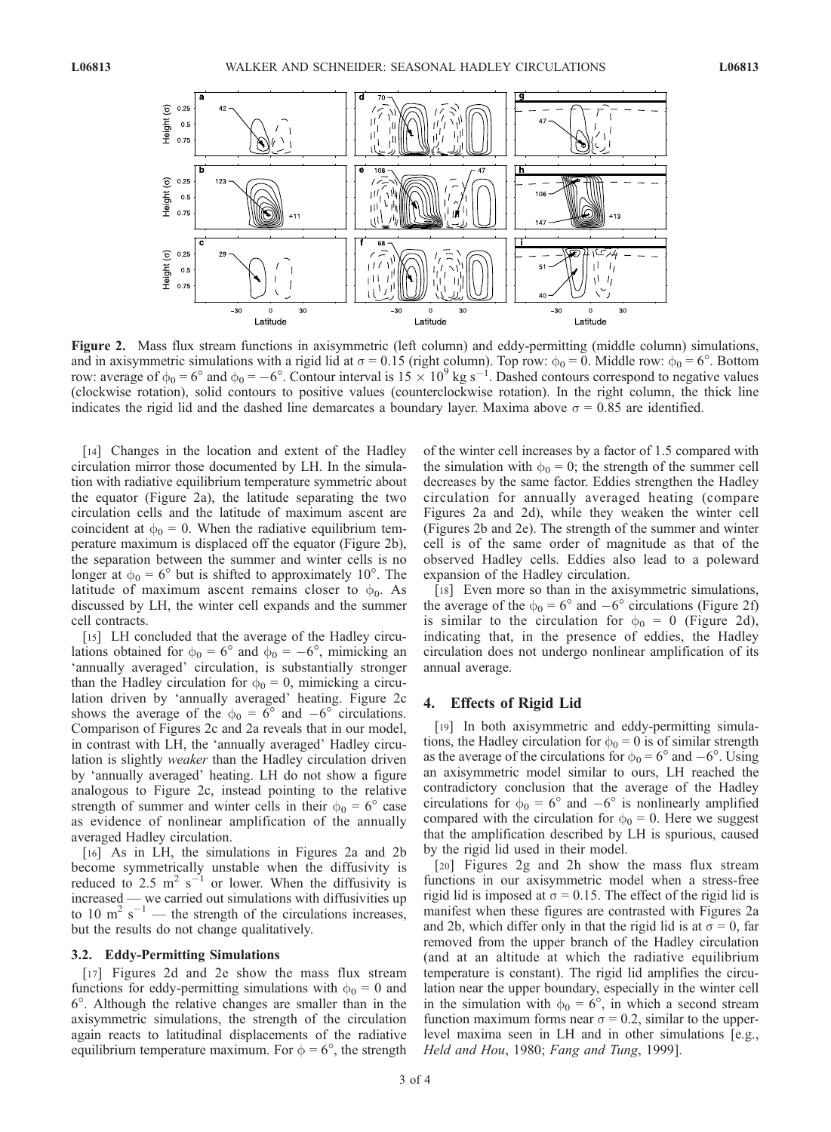

Figure 2. Mass flux stream functions in axisymmetric (left column) and eddy-permitting (middle column) simulations, and in axisymmetric simulations with a rigid lid at  $\sigma = 0.15$  (right column). Top row:  $\phi_0 = 0$ . Middle row:  $\phi_0 = 6^\circ$ . Bottom row: average of  $\phi_0 = 6^\circ$  and  $\phi_0 = -6^\circ$ . Contour interval is  $15 \times 10^9$  kg s<sup>-1</sup>. Dashed contours correspond to negative values (clockwise rotation), solid contours to positive values (counterclockwise rotation). In the right column, the thick line indicates the rigid lid and the dashed line demarcates a boundary layer. Maxima above  $\sigma = 0.85$  are identified.

[14] Changes in the location and extent of the Hadley circulation mirror those documented by LH. In the simulation with radiative equilibrium temperature symmetric about the equator (Figure 2a), the latitude separating the two circulation cells and the latitude of maximum ascent are coincident at  $\phi_0 = 0$ . When the radiative equilibrium temperature maximum is displaced off the equator (Figure 2b), the separation between the summer and winter cells is no longer at  $\phi_0 = 6^\circ$  but is shifted to approximately 10°. The latitude of maximum ascent remains closer to  $\phi_0$ . As discussed by LH, the winter cell expands and the summer cell contracts.

[15] LH concluded that the average of the Hadley circulations obtained for  $\phi_0 = 6^\circ$  and  $\phi_0 = -6^\circ$ , mimicking an 'annually averaged' circulation, is substantially stronger than the Hadley circulation for  $\phi_0 = 0$ , mimicking a circulation driven by 'annually averaged' heating. Figure 2c shows the average of the  $\phi_0 = 6^\circ$  and  $-6^\circ$  circulations. Comparison of Figures 2c and 2a reveals that in our model, in contrast with LH, the 'annually averaged' Hadley circulation is slightly weaker than the Hadley circulation driven by 'annually averaged' heating. LH do not show a figure analogous to Figure 2c, instead pointing to the relative strength of summer and winter cells in their  $\phi_0 = 6^\circ$  case as evidence of nonlinear amplification of the annually averaged Hadley circulation.

[16] As in LH, the simulations in Figures 2a and 2b become symmetrically unstable when the diffusivity is reduced to 2.5  $m^2$  s<sup>-1</sup> or lower. When the diffusivity is increased — we carried out simulations with diffusivities up to 10 m<sup>2</sup> s<sup>-1</sup> — the strength of the circulations increases, but the results do not change qualitatively.

# 3.2. Eddy-Permitting Simulations

[17] Figures 2d and 2e show the mass flux stream functions for eddy-permitting simulations with  $\phi_0 = 0$  and 6-. Although the relative changes are smaller than in the axisymmetric simulations, the strength of the circulation again reacts to latitudinal displacements of the radiative equilibrium temperature maximum. For  $\phi = 6^{\circ}$ , the strength

of the winter cell increases by a factor of 1.5 compared with the simulation with  $\phi_0 = 0$ ; the strength of the summer cell decreases by the same factor. Eddies strengthen the Hadley circulation for annually averaged heating (compare Figures 2a and 2d), while they weaken the winter cell (Figures 2b and 2e). The strength of the summer and winter cell is of the same order of magnitude as that of the observed Hadley cells. Eddies also lead to a poleward expansion of the Hadley circulation.

[18] Even more so than in the axisymmetric simulations, the average of the  $\phi_0 = 6^\circ$  and  $-6^\circ$  circulations (Figure 2f) is similar to the circulation for  $\phi_0 = 0$  (Figure 2d), indicating that, in the presence of eddies, the Hadley circulation does not undergo nonlinear amplification of its annual average.

#### 4. Effects of Rigid Lid

[19] In both axisymmetric and eddy-permitting simulations, the Hadley circulation for  $\phi_0 = 0$  is of similar strength as the average of the circulations for  $\phi_0 = 6^\circ$  and  $-6^\circ$ . Using an axisymmetric model similar to ours, LH reached the contradictory conclusion that the average of the Hadley circulations for  $\phi_0 = 6^\circ$  and  $-6^\circ$  is nonlinearly amplified compared with the circulation for  $\phi_0 = 0$ . Here we suggest that the amplification described by LH is spurious, caused by the rigid lid used in their model.

[20] Figures 2g and 2h show the mass flux stream functions in our axisymmetric model when a stress-free rigid lid is imposed at  $\sigma = 0.15$ . The effect of the rigid lid is manifest when these figures are contrasted with Figures 2a and 2b, which differ only in that the rigid lid is at  $\sigma = 0$ , far removed from the upper branch of the Hadley circulation (and at an altitude at which the radiative equilibrium temperature is constant). The rigid lid amplifies the circulation near the upper boundary, especially in the winter cell in the simulation with  $\phi_0 = 6^\circ$ , in which a second stream function maximum forms near  $\sigma = 0.2$ , similar to the upperlevel maxima seen in LH and in other simulations [e.g., Held and Hou, 1980; Fang and Tung, 1999].